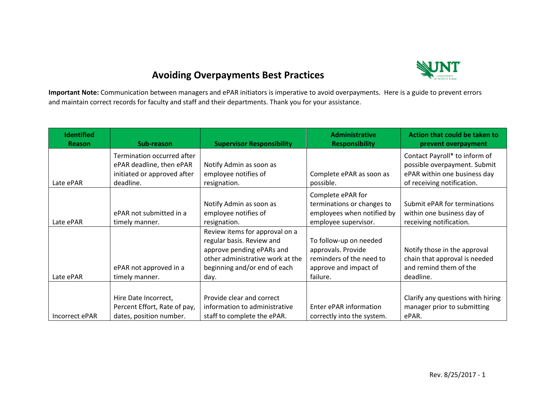

## **Avoiding Overpayments Best Practices**

**Important Note:** Communication between managers and ePAR initiators is imperative to avoid overpayments. Here is a guide to prevent errors and maintain correct records for faculty and staff and their departments. Thank you for your assistance.

| <b>Identified</b><br>Reason | Sub-reason                   | <b>Supervisor Responsibility</b> | <b>Administrative</b><br><b>Responsibility</b> | Action that could be taken to<br>prevent overpayment |
|-----------------------------|------------------------------|----------------------------------|------------------------------------------------|------------------------------------------------------|
|                             | Termination occurred after   |                                  |                                                | Contact Payroll* to inform of                        |
|                             | ePAR deadline, then ePAR     | Notify Admin as soon as          |                                                | possible overpayment. Submit                         |
|                             | initiated or approved after  | employee notifies of             | Complete ePAR as soon as                       | ePAR within one business day                         |
| Late ePAR                   | deadline.                    | resignation.                     | possible.                                      | of receiving notification.                           |
|                             |                              |                                  | Complete ePAR for                              |                                                      |
|                             |                              | Notify Admin as soon as          | terminations or changes to                     | Submit ePAR for terminations                         |
|                             | ePAR not submitted in a      | employee notifies of             | employees when notified by                     | within one business day of                           |
| Late ePAR                   | timely manner.               | resignation.                     | employee supervisor.                           | receiving notification.                              |
|                             |                              | Review items for approval on a   |                                                |                                                      |
|                             |                              | regular basis. Review and        | To follow-up on needed                         |                                                      |
|                             |                              | approve pending ePARs and        | approvals. Provide                             | Notify those in the approval                         |
|                             |                              | other administrative work at the | reminders of the need to                       | chain that approval is needed                        |
|                             | ePAR not approved in a       | beginning and/or end of each     | approve and impact of                          | and remind them of the                               |
| Late ePAR                   | timely manner.               | day.                             | failure.                                       | deadline.                                            |
|                             |                              |                                  |                                                |                                                      |
|                             | Hire Date Incorrect,         | Provide clear and correct        |                                                | Clarify any questions with hiring                    |
|                             | Percent Effort, Rate of pay, | information to administrative    | Enter ePAR information                         | manager prior to submitting                          |
| Incorrect ePAR              | dates, position number.      | staff to complete the ePAR.      | correctly into the system.                     | ePAR.                                                |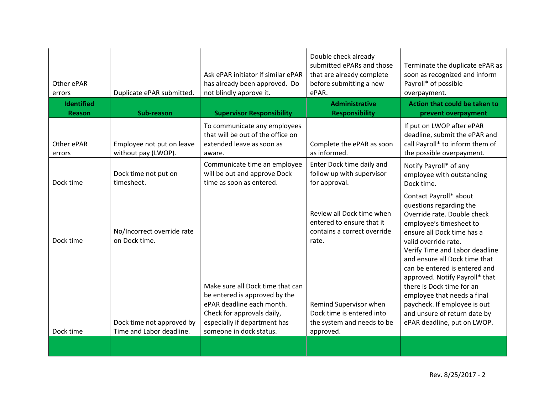| Other ePAR<br>errors               | Duplicate ePAR submitted.                             | Ask ePAR initiator if similar ePAR<br>has already been approved. Do<br>not blindly approve it.                                                                                          | Double check already<br>submitted ePARs and those<br>that are already complete<br>before submitting a new<br>ePAR. | Terminate the duplicate ePAR as<br>soon as recognized and inform<br>Payroll* of possible<br>overpayment.                                                                                                                                                                                      |
|------------------------------------|-------------------------------------------------------|-----------------------------------------------------------------------------------------------------------------------------------------------------------------------------------------|--------------------------------------------------------------------------------------------------------------------|-----------------------------------------------------------------------------------------------------------------------------------------------------------------------------------------------------------------------------------------------------------------------------------------------|
| <b>Identified</b><br><b>Reason</b> | Sub-reason                                            | <b>Supervisor Responsibility</b>                                                                                                                                                        | <b>Administrative</b><br><b>Responsibility</b>                                                                     | Action that could be taken to<br>prevent overpayment                                                                                                                                                                                                                                          |
| Other ePAR<br>errors               | Employee not put on leave<br>without pay (LWOP).      | To communicate any employees<br>that will be out of the office on<br>extended leave as soon as<br>aware.                                                                                | Complete the ePAR as soon<br>as informed.                                                                          | If put on LWOP after ePAR<br>deadline, submit the ePAR and<br>call Payroll* to inform them of<br>the possible overpayment.                                                                                                                                                                    |
| Dock time                          | Dock time not put on<br>timesheet.                    | Communicate time an employee<br>will be out and approve Dock<br>time as soon as entered.                                                                                                | Enter Dock time daily and<br>follow up with supervisor<br>for approval.                                            | Notify Payroll* of any<br>employee with outstanding<br>Dock time.                                                                                                                                                                                                                             |
| Dock time                          | No/Incorrect override rate<br>on Dock time.           |                                                                                                                                                                                         | Review all Dock time when<br>entered to ensure that it<br>contains a correct override<br>rate.                     | Contact Payroll* about<br>questions regarding the<br>Override rate. Double check<br>employee's timesheet to<br>ensure all Dock time has a<br>valid override rate.                                                                                                                             |
| Dock time                          | Dock time not approved by<br>Time and Labor deadline. | Make sure all Dock time that can<br>be entered is approved by the<br>ePAR deadline each month.<br>Check for approvals daily,<br>especially if department has<br>someone in dock status. | Remind Supervisor when<br>Dock time is entered into<br>the system and needs to be<br>approved.                     | Verify Time and Labor deadline<br>and ensure all Dock time that<br>can be entered is entered and<br>approved. Notify Payroll* that<br>there is Dock time for an<br>employee that needs a final<br>paycheck. If employee is out<br>and unsure of return date by<br>ePAR deadline, put on LWOP. |
|                                    |                                                       |                                                                                                                                                                                         |                                                                                                                    |                                                                                                                                                                                                                                                                                               |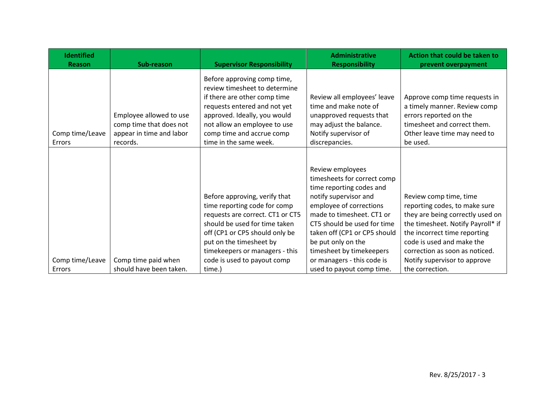| <b>Identified</b><br>Reason | Sub-reason                                                                                 | <b>Supervisor Responsibility</b>                                                                                                                                                                                                                                 | <b>Administrative</b><br><b>Responsibility</b>                                                                                                                                                                                                                                                              | Action that could be taken to<br>prevent overpayment                                                                                                                                                                                                            |
|-----------------------------|--------------------------------------------------------------------------------------------|------------------------------------------------------------------------------------------------------------------------------------------------------------------------------------------------------------------------------------------------------------------|-------------------------------------------------------------------------------------------------------------------------------------------------------------------------------------------------------------------------------------------------------------------------------------------------------------|-----------------------------------------------------------------------------------------------------------------------------------------------------------------------------------------------------------------------------------------------------------------|
| Comp time/Leave<br>Errors   | Employee allowed to use<br>comp time that does not<br>appear in time and labor<br>records. | Before approving comp time,<br>review timesheet to determine<br>if there are other comp time<br>requests entered and not yet<br>approved. Ideally, you would<br>not allow an employee to use<br>comp time and accrue comp<br>time in the same week.              | Review all employees' leave<br>time and make note of<br>unapproved requests that<br>may adjust the balance.<br>Notify supervisor of<br>discrepancies.                                                                                                                                                       | Approve comp time requests in<br>a timely manner. Review comp<br>errors reported on the<br>timesheet and correct them.<br>Other leave time may need to<br>be used.                                                                                              |
| Comp time/Leave             | Comp time paid when                                                                        | Before approving, verify that<br>time reporting code for comp<br>requests are correct. CT1 or CT5<br>should be used for time taken<br>off (CP1 or CP5 should only be<br>put on the timesheet by<br>timekeepers or managers - this<br>code is used to payout comp | Review employees<br>timesheets for correct comp<br>time reporting codes and<br>notify supervisor and<br>employee of corrections<br>made to timesheet. CT1 or<br>CT5 should be used for time<br>taken off (CP1 or CP5 should<br>be put only on the<br>timesheet by timekeepers<br>or managers - this code is | Review comp time, time<br>reporting codes, to make sure<br>they are being correctly used on<br>the timesheet. Notify Payroll* if<br>the incorrect time reporting<br>code is used and make the<br>correction as soon as noticed.<br>Notify supervisor to approve |
| Errors                      | should have been taken.                                                                    | time.)                                                                                                                                                                                                                                                           | used to payout comp time.                                                                                                                                                                                                                                                                                   | the correction.                                                                                                                                                                                                                                                 |